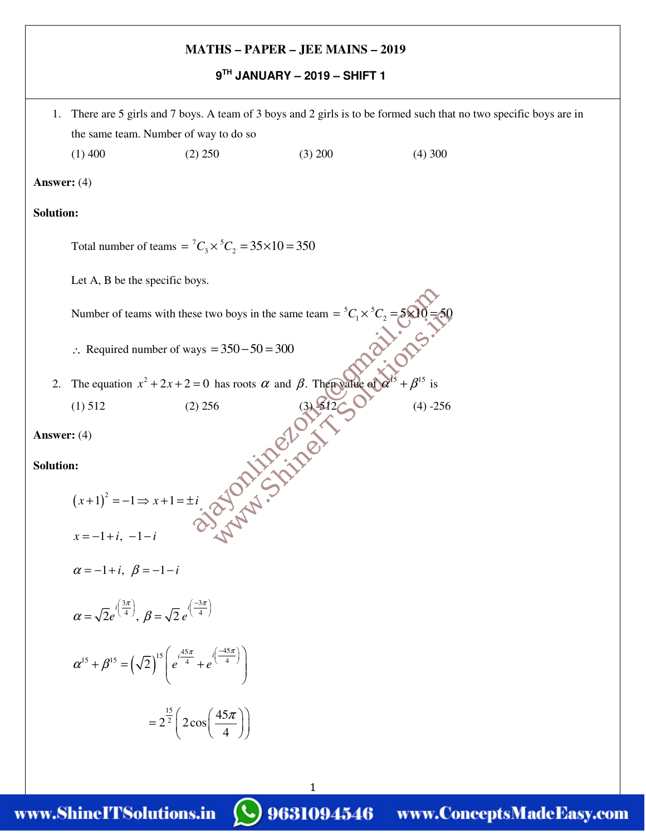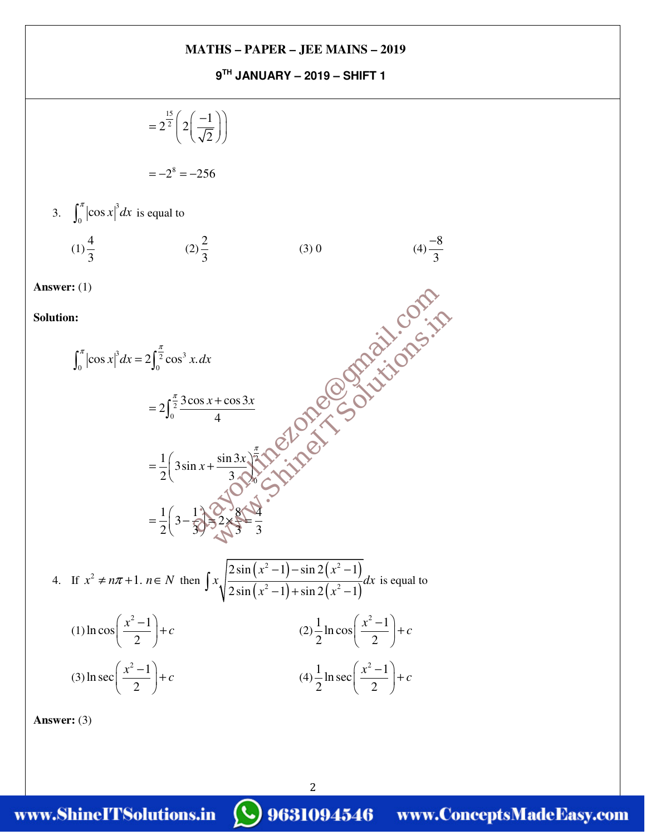**9TH JANUARY – 2019 – SHIFT 1** 



2

**Answer:** (3)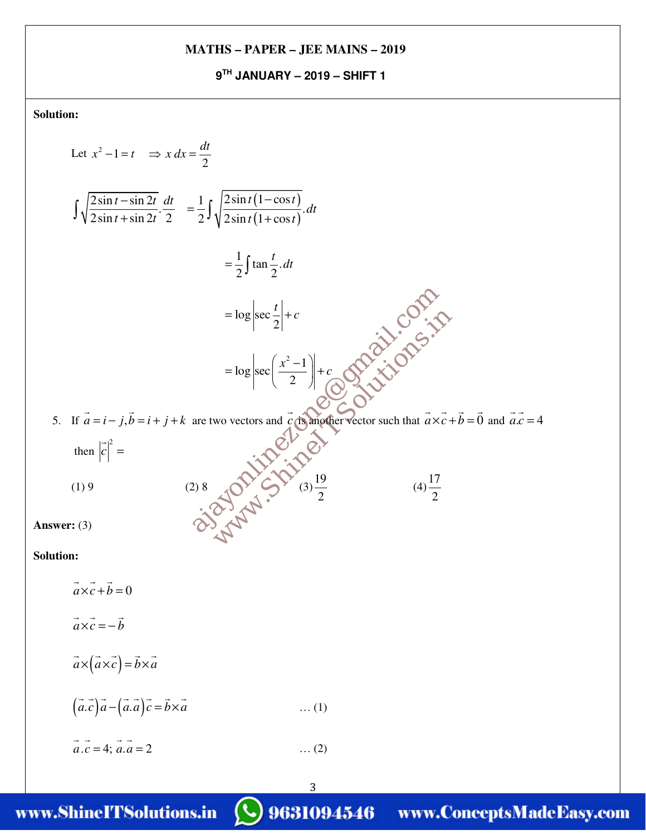**9TH JANUARY – 2019 – SHIFT 1** 

**Solution:**

Let 
$$
x^2 - 1 = t \Rightarrow x dx = \frac{dt}{2}
$$
  
\n
$$
\int \sqrt{\frac{2 \sin t - \sin 2t}{2 \sin t + \sin 2t}} \cdot \frac{dt}{2} = \frac{1}{2} \int \sqrt{\frac{2 \sin t (1 - \cos t)}{2 \sin t + \cos t}} dt
$$
\n
$$
= \frac{1}{2} \int \tan \frac{t}{2} dt
$$
\n
$$
= \log \left| \sec \frac{t}{2} \right| + c
$$
\n
$$
= \log \left| \sec \left( \frac{x^2 - 1}{2} \right) \right| + c
$$
\n
$$
= \log \left| \sec \left( \frac{x^2 - 1}{2} \right) \right| + c
$$
\n
$$
\int \sqrt[3]{ \sqrt[3]{ \sqrt[3]{}} \sqrt[3]{} \sqrt[3]{}} \sqrt[3]{} \sqrt[3]{} \sqrt[3]{} \sqrt[3]{} \sqrt[3]{} \sqrt[3]{} \sqrt[3]{} \sqrt[3]{} \sqrt[3]{} \sqrt[3]{} \sqrt[3]{} \sqrt[3]{} \sqrt[3]{} \sqrt[3]{} \sqrt[3]{} \sqrt[3]{} \sqrt[3]{} \sqrt[3]{} \sqrt[3]{} \sqrt[3]{} \sqrt[3]{} \sqrt[3]{} \sqrt[3]{} \sqrt[3]{} \sqrt[3]{} \sqrt[3]{} \sqrt[3]{} \sqrt[3]{} \sqrt[3]{} \sqrt[3]{} \sqrt[3]{} \sqrt[3]{} \sqrt[3]{} \sqrt[3]{} \sqrt[3]{} \sqrt[3]{} \sqrt[3]{} \sqrt[3]{} \sqrt[3]{} \sqrt[3]{} \sqrt[3]{} \sqrt[3]{} \sqrt[3]{} \sqrt[3]{} \sqrt[3]{} \sqrt[3]{} \sqrt[3]{} \sqrt[3]{} \sqrt[3]{} \sqrt[3]{} \sqrt[3]{} \sqrt[3]{} \sqrt[3]{} \sqrt[3]{} \sqrt[3]{} \sqrt[3]{} \sqrt[3]{} \sqrt[3]{} \sqrt[3]{} \sqrt[3]{} \sqrt[3]{} \sqrt[3]{} \sqrt[3]{} \sqrt[3]{} \sqrt[3]{} \sqrt[3]{} \sqrt[3]{} \sqrt[3]{} \sqrt[3]{} \sqrt[3]{} \sqrt[3]{} \sqrt[3]{} \sqrt[3]{} \sqrt[3]{} \sqrt[3]{} \sqrt[3]{} \sqrt[3]{} \sqrt[3]{} \sqrt[3]{} \sqrt[3
$$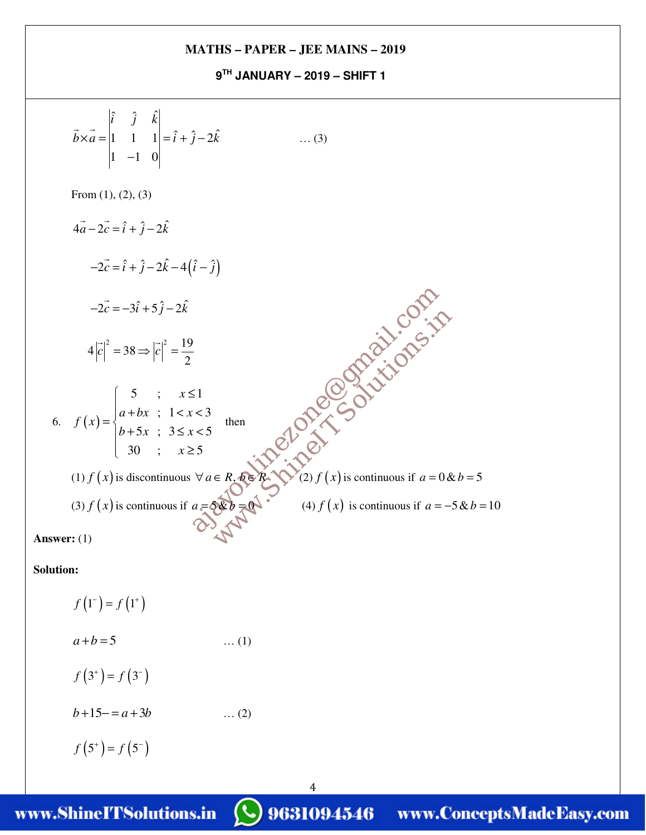**9TH JANUARY – 2019 – SHIFT 1** 

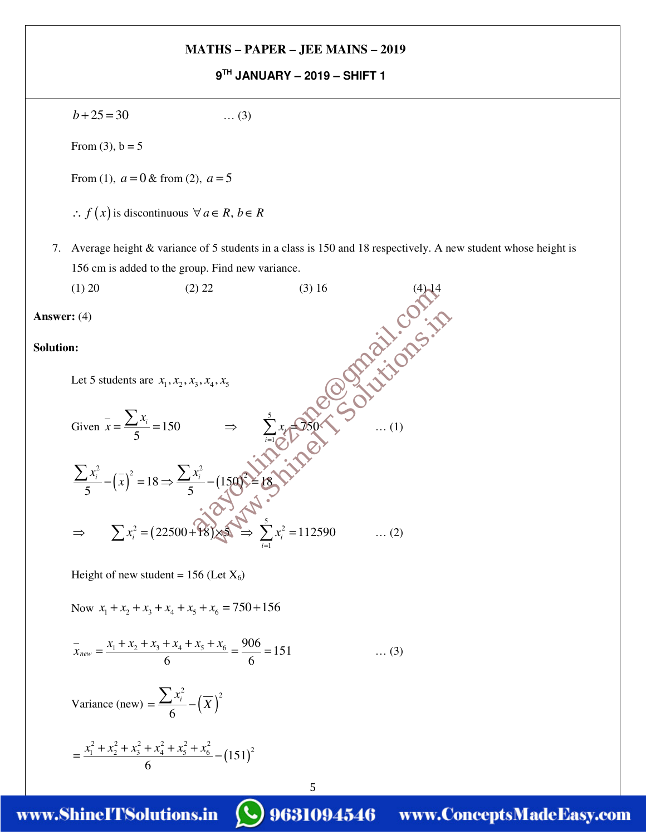**9TH JANUARY – 2019 – SHIFT 1** 

$$
b + 25 = 30 \tag{3}
$$

From  $(3)$ ,  $b = 5$ 

From (1),  $a = 0$  & from (2),  $a = 5$ 

- ∴  $f(x)$  is discontinuous  $\forall a \in R, b \in R$
- 7. Average height & variance of 5 students in a class is 150 and 18 respectively. A new student whose height is 156 cm is added to the group. Find new variance.

5

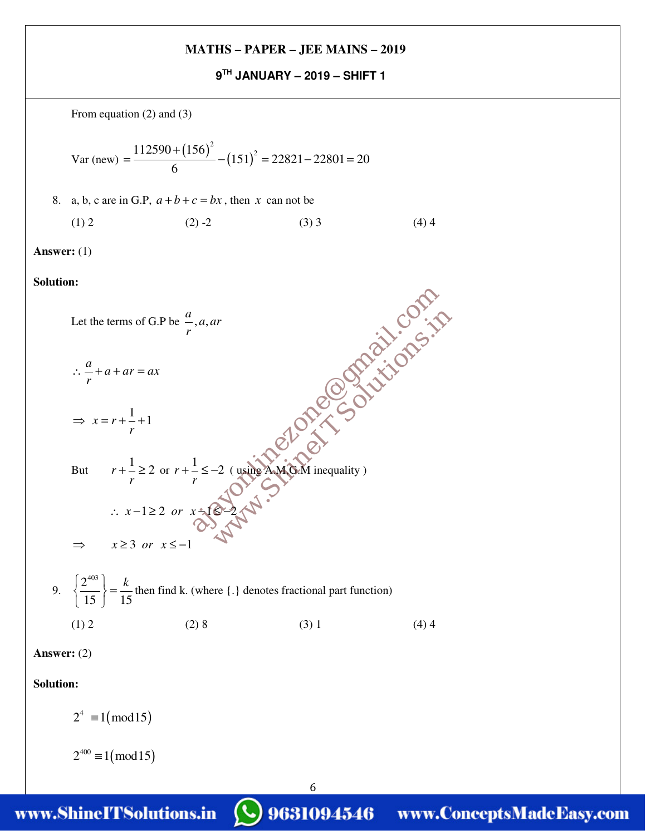**9TH JANUARY – 2019 – SHIFT 1** 

From equation (2) and (3)

Var (new) =  $\frac{112590 + (156)^2}{6} - (151)^2$  $151$ <sup>2</sup> = 22821 - 22801 = 20 6 +  $=\frac{12556 + (155)}{2} - (151)^2 = 22821 - 22801 =$ 

8. a, b, c are in G.P,  $a+b+c=bx$ , then x can not be

$$
(1) 2 \t(2) -2 \t(3) 3 \t(4) 4
$$

**Answer:** (1)

**Solution:**



6

**Solution:**

 $2^4 \equiv 1 \pmod{15}$ 

 $2^{400} \equiv 1 \pmod{15}$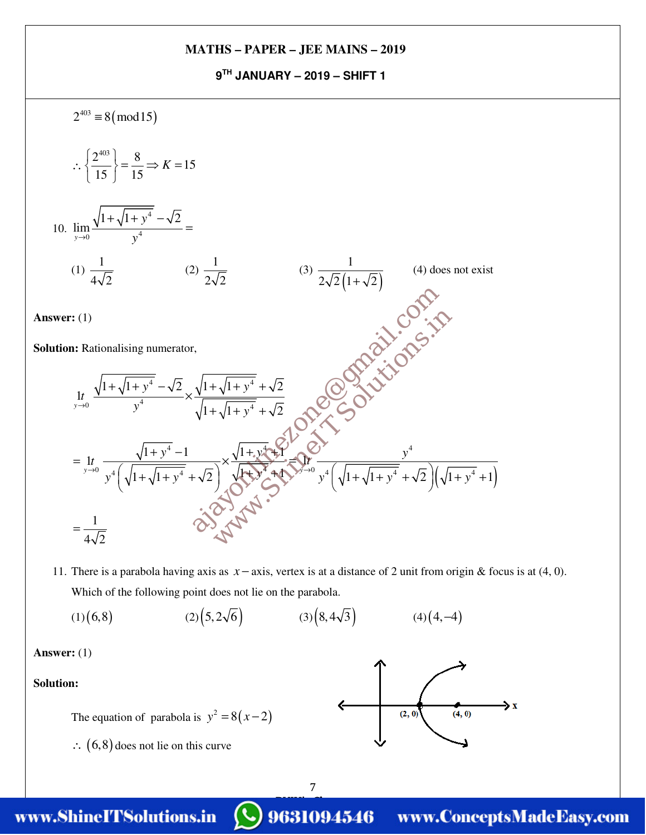**9TH JANUARY – 2019 – SHIFT 1** 



11. There is a parabola having axis as *x* − axis, vertex is at a distance of 2 unit from origin & focus is at (4, 0). Which of the following point does not lie on the parabola.

> 7 BYJU's Classes

(1)(6,8) (2)(5, 2 $\sqrt{6}$ ) (3)(8, 4 $\sqrt{3}$ ) (4)(4, -4)

**Answer:** (1)

**Solution:**

The equation of parabola is  $y^2 = 8(x-2)$ 

∴  $(6,8)$  does not lie on this curve

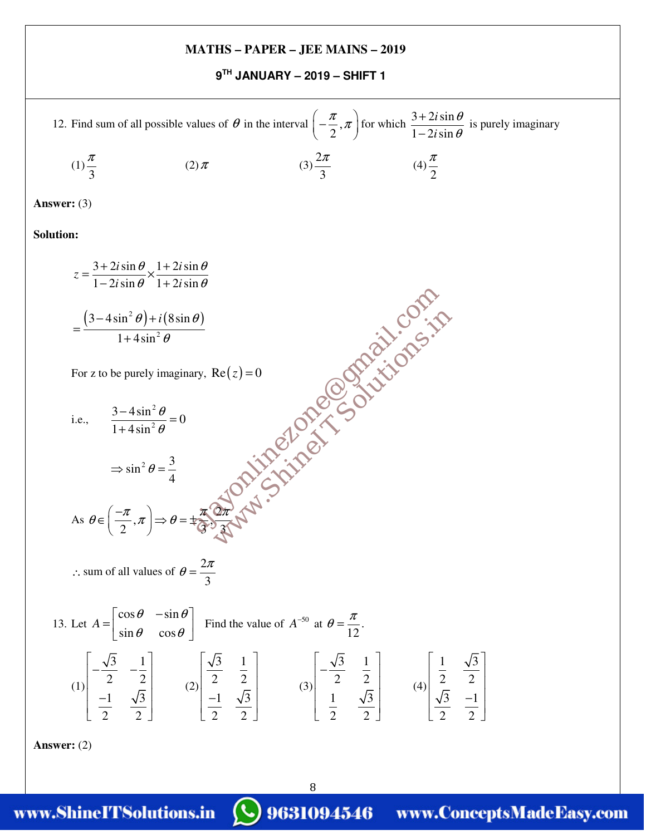**9TH JANUARY – 2019 – SHIFT 1** 

12. Find sum of all possible values of 
$$
\theta
$$
 in the interval  $\left(-\frac{\pi}{2}, \pi\right)$  for which  $\frac{3+2i\sin\theta}{1-2i\sin\theta}$  is purely imaginary  
\n(1)  $\frac{\pi}{3}$  (2)  $\pi$  (3)  $\frac{2\pi}{3}$  (4)  $\frac{\pi}{2}$   
\nAnswer: (3)  
\nSolution:  
\n
$$
z = \frac{3+2i\sin\theta}{1-2i\sin\theta} \times \frac{1+2i\sin\theta}{1+2i\sin\theta}
$$
\n
$$
= \frac{(3-4\sin^2\theta)+i(8\sin\theta)}{1+4\sin^2\theta}
$$
\nFor z to be purely imaginary, Re(z) = 0  
\ni.e.,  $\frac{3-4\sin^2\theta}{1+4\sin^2\theta} = 0$   
\n $\Rightarrow \sin^2\theta = \frac{3}{4}$   
\nAs  $\theta \in \left(-\frac{\pi}{2}, \pi\right) \Rightarrow \theta = \pm \frac{\pi}{(\pi^2)^2} \pm \sqrt{3}$   
\n $\therefore$  sum of all values of  $\theta = \frac{2\pi}{3}$   
\n13. Let  $A = \begin{bmatrix} \cos\theta & -\sin\theta \\ \sin\theta & \cos\theta \end{bmatrix}$  Find the value of  $A^{-50}$  at  $\theta = \frac{\pi}{12}$ .  
\n
$$
\int \left[-\frac{\sqrt{3}}{2} - \frac{1}{2}\right] \left[2\left[\frac{\sqrt{3}}{2} - \frac{1}{2}\right] \left[2\left[\frac{\sqrt{3}}{2} - \frac{1}{2}\right] \left[3\left[\frac{\sqrt{3}}{2} - \frac{1}{2}\right] \left[3\left[\frac{\sqrt{3}}{2} - \frac{1}{2}\right] \left[4\left[\frac{\sqrt{3}}{2} - \frac{1}{2}\right] \left[4\left[\frac{\sqrt{3}}{2} - \frac{1}{2}\right] \left[4\left[\frac{\sqrt{3}}{2} - \frac{1}{2}\right] \left[4\left[\frac{\sqrt{3}}{2} - \frac{1}{2}\right] \left[4\left[\frac{\sqrt{3}}{2} - \frac{1}{2}\right] \left[4\left[\frac{\sqrt{3}}{2} - \frac{1}{2}\right] \
$$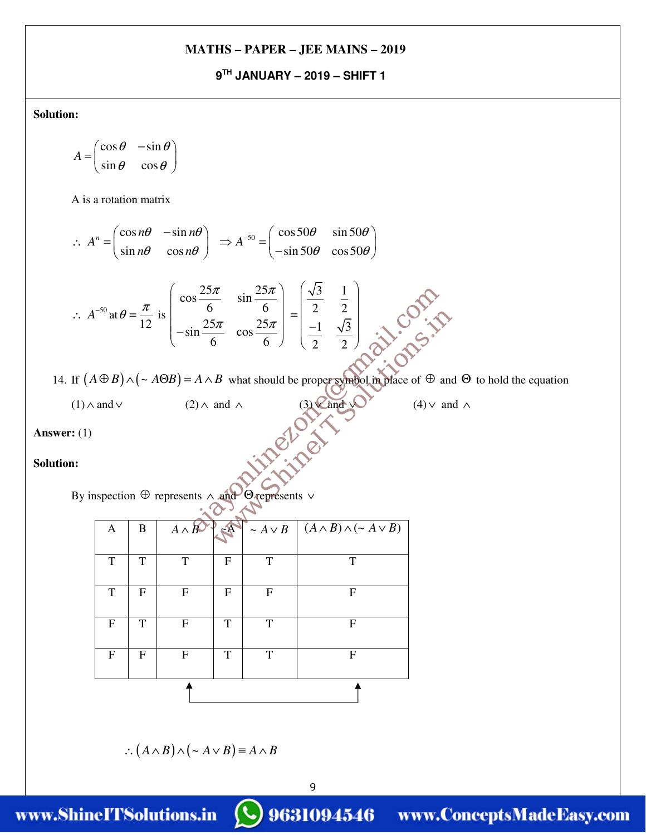## **9TH JANUARY – 2019 – SHIFT 1**

**Solution:**

$$
A = \begin{pmatrix} \cos \theta & -\sin \theta \\ \sin \theta & \cos \theta \end{pmatrix}
$$

A is a rotation matrix

$$
\therefore A^n = \begin{pmatrix} \cos n\theta & -\sin n\theta \\ \sin n\theta & \cos n\theta \end{pmatrix} \implies A^{-50} = \begin{pmatrix} \cos 50\theta & \sin 50\theta \\ -\sin 50\theta & \cos 50\theta \end{pmatrix}
$$

$$
\therefore A^{-50} \text{ at } \theta = \frac{\pi}{12} \text{ is } \begin{pmatrix} \cos \frac{25\pi}{6} & \sin \frac{25\pi}{6} \\ -\sin \frac{25\pi}{6} & \cos \frac{25\pi}{6} \end{pmatrix} = \begin{pmatrix} \frac{\sqrt{3}}{2} & \frac{1}{2} \\ \frac{-1}{2} & \frac{\sqrt{3}}{2} \end{pmatrix}
$$
  
If  $(A \oplus B) \wedge (\sim A \oplus B) = A \wedge B$  what should be proper  
graphed in place of  $\oplus$  and  
(1)  $\wedge$  and  $\vee$  (2)  $\wedge$  and  $\wedge$  (3) **2** and **3** (4)  $\vee$  and  
(1)  $\wedge$  and (2)  $\wedge$  and  $\wedge$  (3) **2** and **3** (4)  $\vee$  and  
(5) **4 4 6 9** represents  $\vee$   
**1 a b a a b b c d e e f f f g h i j k k k k k k k k k k k k k k k k k k k k k k k k k k k k k k k k k k k k k k k k k k k k k k** <

14. If  $(A \oplus B) \wedge (\sim A \oplus B) = A \wedge B$  what should be proper symbol in place of  $\oplus$  and  $\Theta$  to hold the equation

9

(1) ∧ and ∨ (2) ∧ and ∧ (3)  $\mathbb{V}$  and  $\mathbb{V}$  (4)  $\vee$  and  $\wedge$ 

**Answer:** (1)

**Solution:**

By inspection ⊕ represents ∧ and Θ represents ∨

| $\mathbf{A}$ | B                | $A \wedge B$ | z <sup>A</sup>            | $\sim A \vee B$ | $(A \wedge B) \wedge (\sim A \vee B)$ |
|--------------|------------------|--------------|---------------------------|-----------------|---------------------------------------|
| T            | T                | T            | $\boldsymbol{\mathrm{F}}$ | T               | T                                     |
| T            | F                | F            | $\mathbf{F}$              | F               | $\mathbf{F}$                          |
| $\mathbf{F}$ | T                | F            | T                         | T               | F                                     |
| F            | $\boldsymbol{F}$ | F            | T                         | T               | F                                     |
|              |                  |              |                           |                 |                                       |

$$
\therefore (A \wedge B) \wedge (\sim A \vee B) \equiv A \wedge B
$$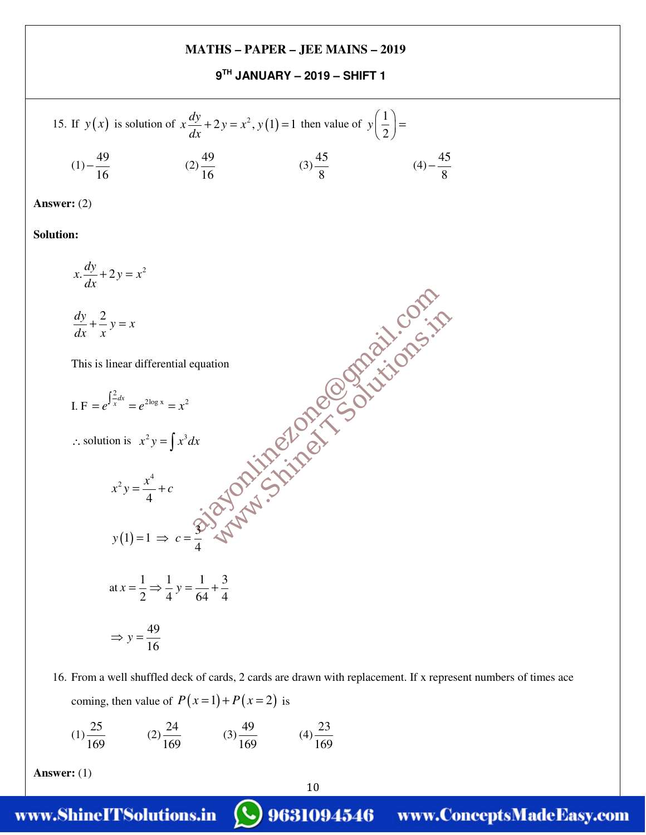**9TH JANUARY – 2019 – SHIFT 1** 

15. If 
$$
y(x)
$$
 is solution of  $x \frac{dy}{dx} + 2y = x^2$ ,  $y(1) = 1$  then value of  $y\left(\frac{1}{2}\right) =$   
\n $(1) - \frac{49}{16}$   $(2) \frac{49}{16}$   $(3) \frac{45}{8}$   $(4) - \frac{45}{8}$ 

**Answer:** (2)

**Solution:**

$$
x \frac{dy}{dx} + 2y = x^2
$$
\n
$$
\frac{dy}{dx} + \frac{2}{x}y = x
$$
\nThis is linear differential equation\n
$$
I.F = e^{\int \frac{2}{x} dx} = e^{2\log x} = x^2
$$
\n
$$
\therefore \text{ solution is } x^2y = \int x^3 dx
$$
\n
$$
x^2y = \frac{x^4}{4} + c
$$
\n
$$
y(1) = 1 \implies c = \frac{2}{3} \implies \sqrt{3} \implies \sqrt{3} \implies \sqrt{3} \implies \sqrt{3} \implies \sqrt{3} \implies \sqrt{3} \implies \sqrt{3} \implies \sqrt{3} \implies \sqrt{3} \implies \sqrt{3} \implies \sqrt{3} \implies \sqrt{3} \implies \sqrt{3} \implies \sqrt{3} \implies \sqrt{3} \implies \sqrt{3} \implies \sqrt{3} \implies \sqrt{3} \implies \sqrt{3} \implies \sqrt{3} \implies \sqrt{3} \implies \sqrt{3} \implies \sqrt{3} \implies \sqrt{3} \implies \sqrt{3} \implies \sqrt{3} \implies \sqrt{3} \implies \sqrt{3} \implies \sqrt{3} \implies \sqrt{3} \implies \sqrt{3} \implies \sqrt{3} \implies \sqrt{3} \implies \sqrt{3} \implies \sqrt{3} \implies \sqrt{3} \implies \sqrt{3} \implies \sqrt{3} \implies \sqrt{3} \implies \sqrt{3} \implies \sqrt{3} \implies \sqrt{3} \implies \sqrt{3} \implies \sqrt{3} \implies \sqrt{3} \implies \sqrt{3} \implies \sqrt{3} \implies \sqrt{3} \implies \sqrt{3} \implies \sqrt{3} \implies \sqrt{3} \implies \sqrt{3} \implies \sqrt{3} \implies \sqrt{3} \implies \sqrt{3} \implies \sqrt{3} \implies \sqrt{3} \implies \sqrt{3} \implies \sqrt{3} \implies \sqrt{3} \implies \sqrt{3} \implies \sqrt{3} \implies \sqrt{3} \implies \sqrt{3} \implies \sqrt{3} \implies \sqrt{3} \implies \sqrt{3} \implies \sqrt{3} \implies \sqrt{3} \implies \sqrt{3} \implies \sqrt{3} \implies \sqrt{3} \implies \sqrt{3} \implies \sqrt
$$

16. From a well shuffled deck of cards, 2 cards are drawn with replacement. If x represent numbers of times ace coming, then value of  $P(x=1) + P(x=2)$  is

$$
(1) \frac{25}{169} \qquad (2) \frac{24}{169} \qquad (3) \frac{49}{169} \qquad (4) \frac{23}{169}
$$

**Answer:** (1)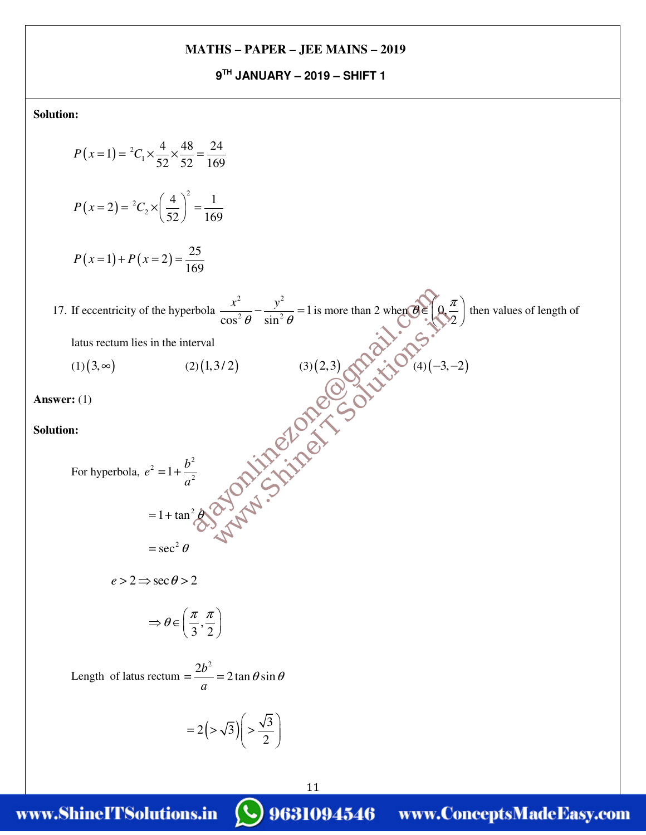**9TH JANUARY – 2019 – SHIFT 1** 

**Solution:**

$$
P(x=1) = {}^{2}C_{1} \times \frac{4}{52} \times \frac{48}{52} = \frac{24}{169}
$$
  
\n
$$
P(x=2) = {}^{2}C_{2} \times \left(\frac{4}{52}\right)^{2} = \frac{1}{169}
$$
  
\n
$$
P(x=1) + P(x=2) = \frac{25}{169}
$$
  
\n17. If eccentricity of the hyperbola  $\frac{x^{2}}{\cos^{2} \theta} - \frac{y^{2}}{\sin^{2} \theta} = 1$  is more than 2 when  $\theta \in \mathbb{Q}(\frac{\pi}{\sqrt{2}})$  then values of length of  
\nlatus rectum lies in the interval  
\n(1)(3,∞) (2)(1,3/2) (3)(2,3) (3)(2,3) (4)(-3, -2)  
\nAnswer: (1)  
\nSolution:  
\nFor hyperbola,  $e^{2} = 1 + \frac{b^{2}}{a^{2}}$   
\n $= 1 + \tan^{2} \theta \cos 2$   
\n $\Rightarrow \theta \in \left(\frac{\pi}{3}, \frac{\pi}{2}\right)$   
\nLength of latus rectum =  $\frac{2b^{2}}{a} = 2 \tan \theta \sin \theta$   
\n $= 2(\frac{1}{\sqrt{3}})\left(\frac{\sqrt{3}}{2}\right)$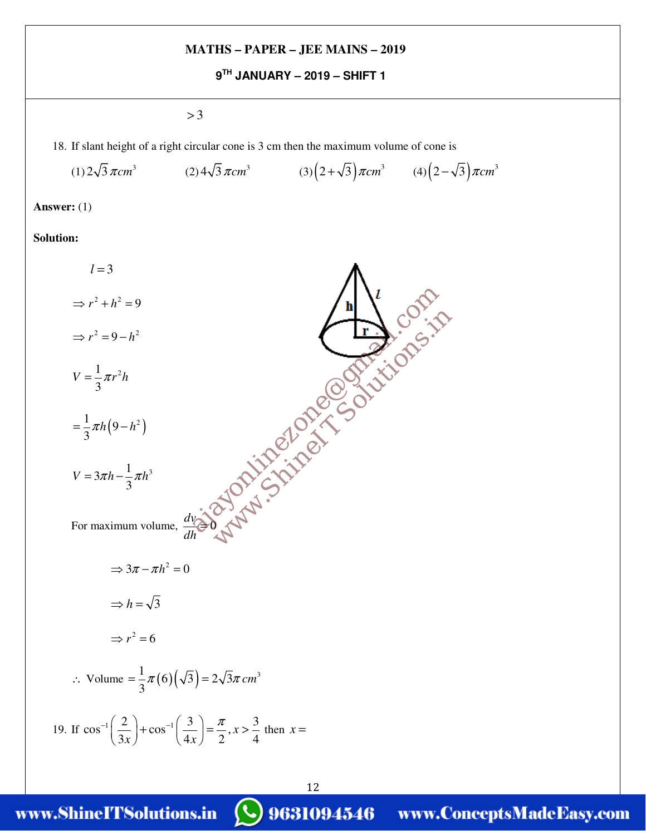**9TH JANUARY – 2019 – SHIFT 1** 

 $> 3$ 

18. If slant height of a right circular cone is 3 cm then the maximum volume of cone is

(1) 
$$
2\sqrt{3} \pi cm^3
$$
 (2)  $4\sqrt{3} \pi cm^3$  (3)  $(2+\sqrt{3}) \pi cm^3$  (4)  $(2-\sqrt{3}) \pi cm^3$ 

**Answer:** (1)

#### **Solution:**

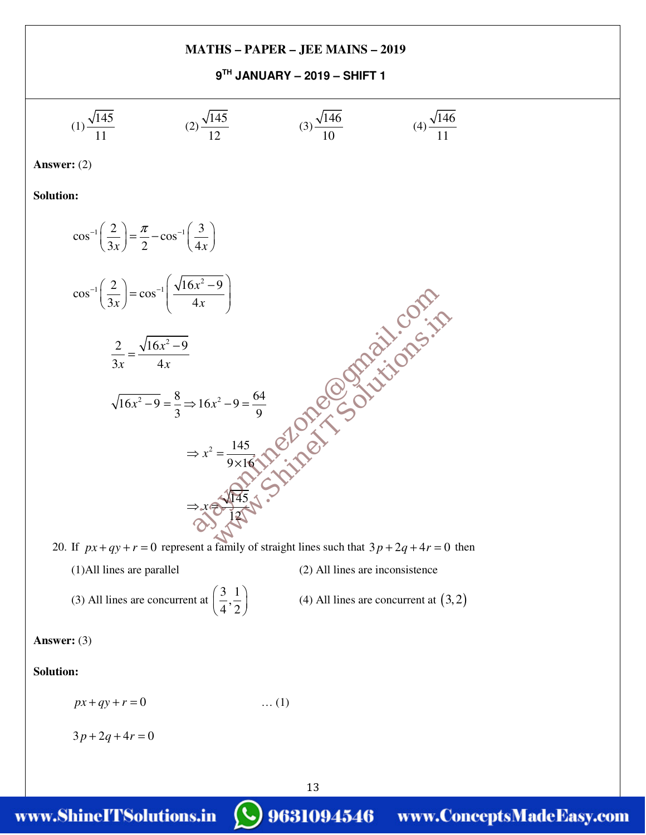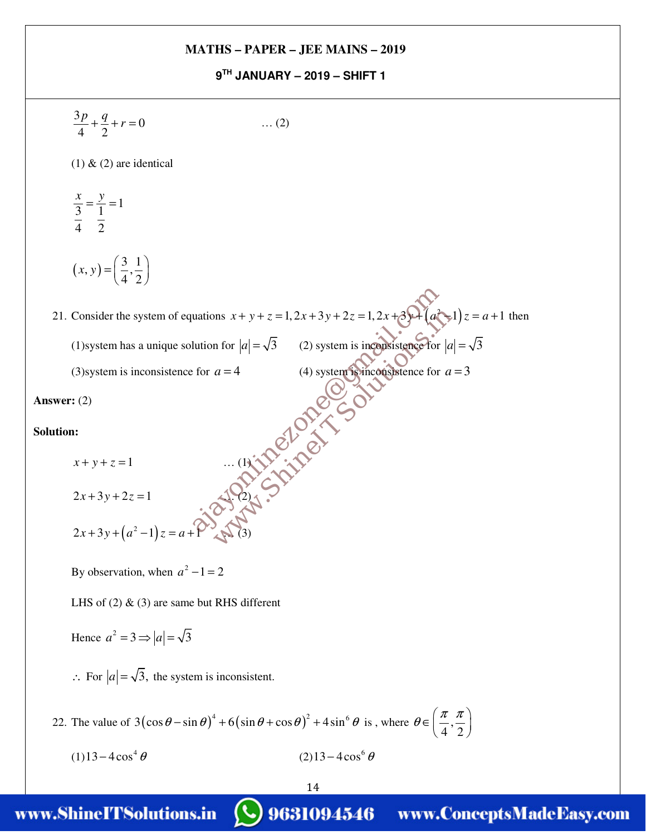### **9TH JANUARY – 2019 – SHIFT 1**

14 BYJU's Classes  $\frac{3p}{1} + \frac{q}{2} + r = 0$ 4 2  $\frac{p}{r} + \frac{q}{2} + r = 0$  ... (2)  $(1)$  &  $(2)$  are identical  $\frac{x}{3} = \frac{y}{1} = 1$ 4 2  $\frac{x}{2} = \frac{y}{1}$  $(x, y) = \left(\frac{3}{4}, \frac{1}{2}\right)$  $4^{\degree}2$ *x y*  $(3\;1)$  $=\left(\frac{3}{4},\frac{1}{2}\right)$ 21. Consider the system of equations  $x + y + z = 1$ ,  $2x + 3y + 2z = 1$ ,  $2x + 3y + (a^2 - 1)z = a + 1$  then  $x + y + z = 1, 2x + 3y + 2z = 1, 2x + 3y + (a^{2}-1)z = a + 1$  then (1)system has a unique solution for  $|a| = \sqrt{3}$  (2) system is inconsistence for  $|a| = \sqrt{3}$ (3) system is inconsistence for  $a = 4$  (4) system is inconsistence for  $a = 3$ **Answer:** (2) **Solution:**  $x + y + z = 1$  … (1)  $2x + 3y + 2z = 1$  $2x+3y+(a^2-1)z=a+1$  (3) By observation, when  $a^2 - 1 = 2$ LHS of  $(2)$  &  $(3)$  are same but RHS different Hence  $a^2 = 3 \Rightarrow |a| = \sqrt{3}$ ∴ For  $|a| = \sqrt{3}$ , the system is inconsistent. 22. The value of  $3(\cos\theta - \sin\theta)^4 + 6(\sin\theta + \cos\theta)^2 + 4\sin^6\theta$  is, where  $\theta \in \left(\frac{\pi}{4},\right)$  $4^{\degree}2$  $\theta \in \left( \frac{\pi}{n}, \frac{\pi}{n} \right)$  $\in \left(\frac{\pi}{4},\frac{\pi}{2}\right)$  $(1)$  13 – 4 $\cos^4 \theta$  $13 - 4\cos^4\theta$  (2)  $13 - 4\cos^6\theta$ ms  $x + y + z = 1, 2x + 3y + 2z = 1, 2x + 3y + (a^{2} - 1)$ <br>
a for  $|a| = \sqrt{3}$  (2) system is inequalistic for  $|a|$ <br>
(4) system is inequalistic for  $|a|$ <br>
(4) system is inconsistence for  $|a|$ <br>
(4) system is inconsistence for  $|a|$ <br>
( uations  $x + y + z = 1, 2x + 3y + 2z = 1, 2x + 3y + 2z = 1, 2x + 3y + 2z = 1, 2x + 3y + 2z = 1, 2x + 3y + 2z = 1, 2x + 3y + 2z = 1, 2x + 3y + 2z = 1, 2x + 3y + 2z = 1, 2x + 3y + 2z = 1, 2x + 3y + 2z = 1, 2x + 3y + 2z = 1, 2x + 3y + 2z = 1, 2x + 3y + 2z = 1, 2x + 3y +$ 

4th Floor, Prince Road, Prince Kushal Towns, Concepts, Theodor, Apple Road, Chennai Road, Chennai -0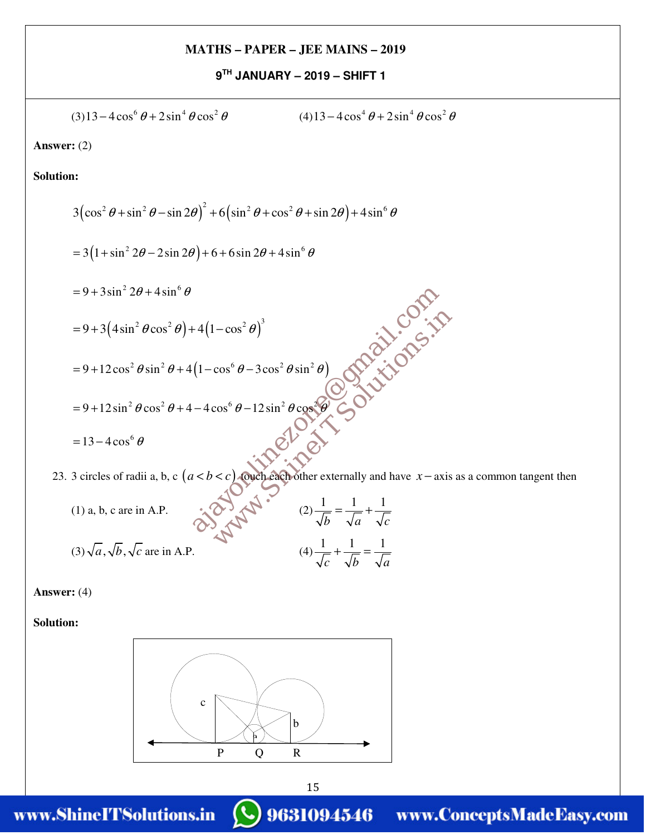**9TH JANUARY – 2019 – SHIFT 1** 

(3)13-4cos<sup>6</sup> θ + 2sin<sup>4</sup> θ cos<sup>2</sup> θ  
\n**Answer:** (2)  
\n**Solution:**  
\n3(cos<sup>2</sup> θ + sin<sup>2</sup> θ – sin 2θ)<sup>2</sup> + 6(sin<sup>2</sup> θ + cos<sup>2</sup> θ + sin 2θ) + 4sin<sup>6</sup> θ  
\n= 3(1+ sin<sup>2</sup> 2θ – 2sin 2θ) + 6+6sin 2θ + 4sin<sup>6</sup> θ  
\n= 9+3sin<sup>2</sup> 2θ + 4sin<sup>6</sup> θ  
\n= 9+3sin<sup>2</sup> 2θ + 4sin<sup>6</sup> θ  
\n= 9+12cos<sup>2</sup> θ sin<sup>2</sup> θ + 4(1 – cos<sup>2</sup> θ)<sup>3</sup>  
\n= 9+12sin<sup>2</sup> θ cos<sup>2</sup> θ + 4(1 – cos<sup>6</sup> θ – 3cos<sup>2</sup> θ sin<sup>2</sup> θ)  
\n= 9+12sin<sup>2</sup> θ cos<sup>2</sup> θ + 4 – 4cos<sup>6</sup> θ – 12sin<sup>2</sup> θ cos<sup>2</sup> θ  
\n= 13-4cos<sup>6</sup> θ  
\n23. 3 circles of radii a, b, c (*a* < *b <*)  
\n(1) a, b, c are in A.P.  
\n(3) 
$$
\sqrt{a}
$$
,  $\sqrt{b}$ ,  $\sqrt{c}$  are in A.P.  
\n(4)  $\frac{1}{z} + \frac{1}{z} = \frac{1}{z}$ 

**Answer:** (4)

**Solution:** 



*c*  $\sqrt{b}$   $\sqrt{a}$  $+\frac{1}{\sqrt{2}}$  =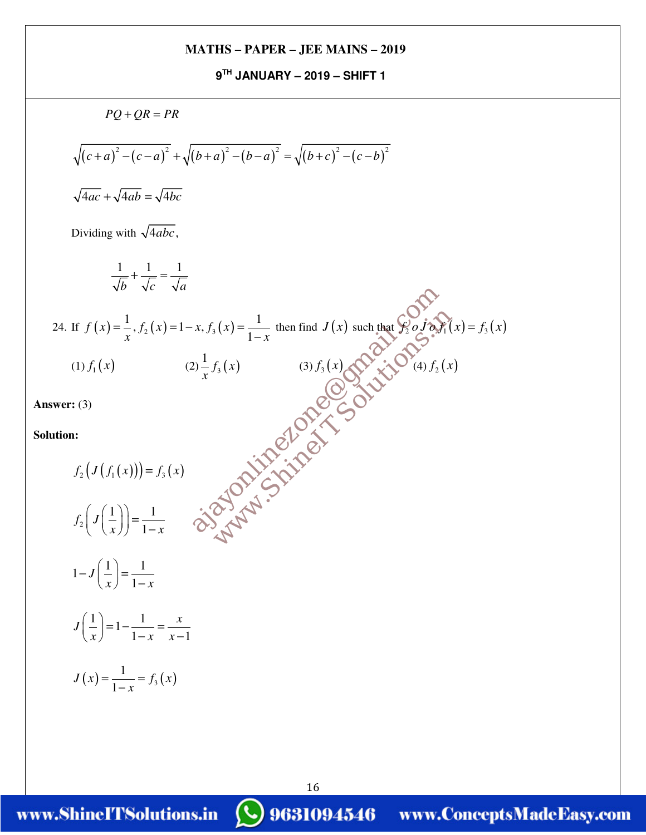**9TH JANUARY – 2019 – SHIFT 1** 

 $PQ + QR = PR$  $\sqrt{(c+a)^2-(c-a)^2}$  +  $\sqrt{(b+a)^2-(b-a)^2}$  =  $\sqrt{(b+c)^2-(c-b)^2}$  $\sqrt{4ac} + \sqrt{4ab} = \sqrt{4bc}$ Dividing with  $\sqrt{4abc}$ ,  $1 \t1 \t1$ *b*  $\sqrt{c}$   $\sqrt{a}$  $+\frac{1}{\sqrt{}}$  = 24. If  $f(x) = \frac{1}{x}$ ,  $f_2(x) = 1 - x$ ,  $f_3(x) = \frac{1}{1 - x}$  $f(x) = \frac{1}{2}$ ,  $f_2(x) = 1-x$ ,  $f_3(x)$  $x^{752}$   $x^{75}$   $x^{75}$   $1-x$  $=$   $\frac{1}{2}$ ,  $f_2(x)$  = 1 – x,  $f_3(x)$  =  $\frac{1}{-x}$  then find  $J(x)$  such that  $f'_2 \circ J \circ f'_1(x) = f_3(x)$ (1)  $f_1(x)$  (2)  $\frac{1}{x}f_3(x)$  $\frac{1}{x} f_3(x)$  (3)  $f_3(x)$   $(3) f_2(x)$ **Answer:** (3) **Solution:**  $f_2(J(f_1(x))) = f_3(x)$ 2  $1)$  1 1  $f_{\scriptscriptstyle 2}^{} \vert \ J$  $\left( J\left(\frac{1}{x}\right)\right) = \frac{1}{1-x}$  $1 - J\left(\frac{1}{\cdot}\right) = \frac{1}{\cdot}$ 1 *J*  $x$   $\left|$   $1-x\right|$  $(1)$  $-J\left(\frac{1}{x}\right) = \frac{1}{1-x}$  $\left(\frac{1}{2}\right) = 1 - \frac{1}{4}$  $1 - x \quad x - 1$  $J\left(\frac{1}{x}\right) = 1 - \frac{1}{2} = \frac{x}{2}$  $\left(\frac{1}{x}\right) = 1 - \frac{1}{1-x} = \frac{x}{x-1}$  $(x) = \frac{1}{1-x} = f_3(x)$  $J(x) = \frac{1}{x} = f_3(x)$ *x*  $=\frac{1}{1}$  = −  $y(x) = \frac{1}{1-x}$  then find  $J(x)$  such that  $\oint_2^x \partial_x f_0(x)$ <br>  $f_3(x)$  (3)  $f_3(x)$   $\partial_x f_3(x)$   $\partial_y f_4(x)$ <br>  $\partial_y f_2(x)$ <br>  $\partial_y f_3(x)$   $\partial_y f_4(x)$ x,  $f_3(x) = \frac{1}{1-x}$  then find  $J(x)$  such that  $\oint_2^0 o J \phi$ <br>
(3)  $f_3(x)$  (3)  $f_3(x)$   $\oint_0^{\infty} \oint_0^{\infty} \phi(x) \phi(x)$ <br>
(4)  $f_2$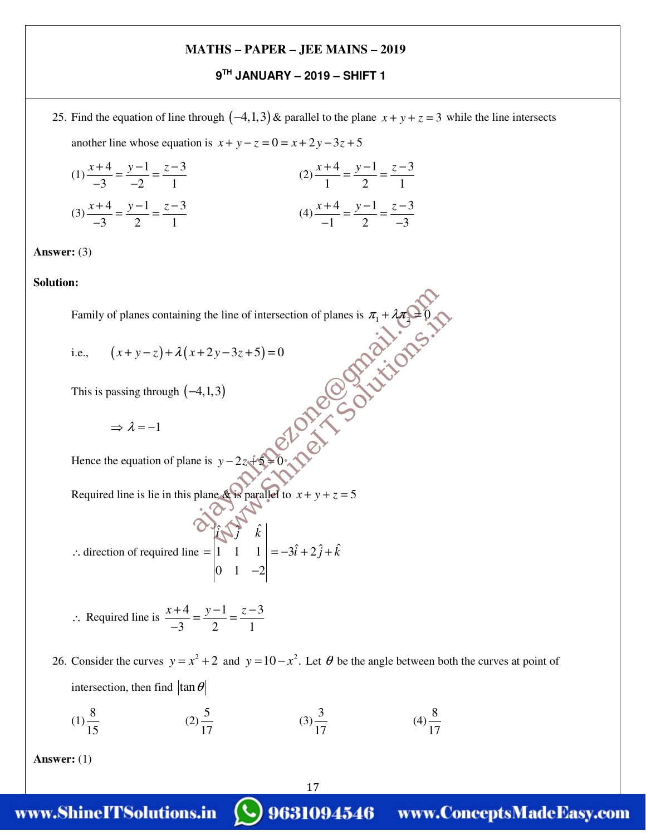### **9TH JANUARY – 2019 – SHIFT 1**

25. Find the equation of line through  $(-4,1,3)$  & parallel to the plane  $x + y + z = 3$  while the line intersects another line whose equation is  $x + y - z = 0 = x + 2y - 3z + 5$ 

(1) 
$$
\frac{x+4}{-3} = \frac{y-1}{-2} = \frac{z-3}{1}
$$
  
(2) 
$$
\frac{x+4}{1} = \frac{y-1}{2} = \frac{z-3}{1}
$$
  
(3) 
$$
\frac{x+4}{-3} = \frac{y-1}{2} = \frac{z-3}{1}
$$
  
(4) 
$$
\frac{x+4}{-1} = \frac{y-1}{2} = \frac{z-3}{-3}
$$

**Answer:** (3)

#### **Solution:**

Family of planes containing the line of intersection of planes is  $\pi_1 + \lambda \pi_2 = 0$ e line of intersection of planes is  $\pi_1 + \lambda \pi_2 = 0$ <br>  $y-3z+5) = 0$ <br>
3)<br>  $y-2z+5 = 0$ <br>  $\therefore y-2z+5 = 0$ <br>  $\therefore y-2z+5 = 0$ <br>  $\therefore y-2z+5 = 0$ <br>  $\therefore y-2z+5 = 0$ <br>  $\therefore y-2z+5 = 0$ <br>  $\therefore y-2z+5 = 0$ <br>  $\therefore y-2z+5 = 0$ <br>  $\therefore y-2z+5 = 0$ <br>  $\therefore y-2z$ ag the line of intersection of planes is  $\pi_1 + \lambda \pi_2 = 0$ <br>  $(x+2y-3z+5) = 0$ <br>  $(-4,1,3)$ <br>
The is  $y-2z+5=0$ . Note that the substitution of the set of  $y$  of  $y$  is parallel to  $x + y + z = 5$ 

i.e., 
$$
(x+y-z)+\lambda(x+2y-3z+5)=0
$$

This is passing through  $(-4,1,3)$ 

 $\Rightarrow \lambda = -1$ 

Hence the equation of plane is  $y - 2z + 5 = 0$ 

Required line is lie in this plane & is parallel to  $x + y + z = 5$ 

$$
\therefore \text{ direction of required line} = \begin{vmatrix} \hat{i} & \hat{j} & \hat{k} \\ 1 & 1 & 1 \\ 0 & 1 & -2 \end{vmatrix} = -3\hat{i} + 2\hat{j} + \hat{k}
$$

$$
\therefore \text{ Required line is } \frac{x+4}{-3} = \frac{y-1}{2} = \frac{z-3}{1}
$$

26. Consider the curves  $y = x^2 + 2$  and  $y = 10 - x^2$ . Let  $\theta$  be the angle between both the curves at point of intersection, then find  $\tan \theta$ 

17

$$
(1) \frac{8}{15} \qquad (2) \frac{5}{17} \qquad (3) \frac{3}{17} \qquad (4) \frac{8}{17}
$$

**Answer:** (1)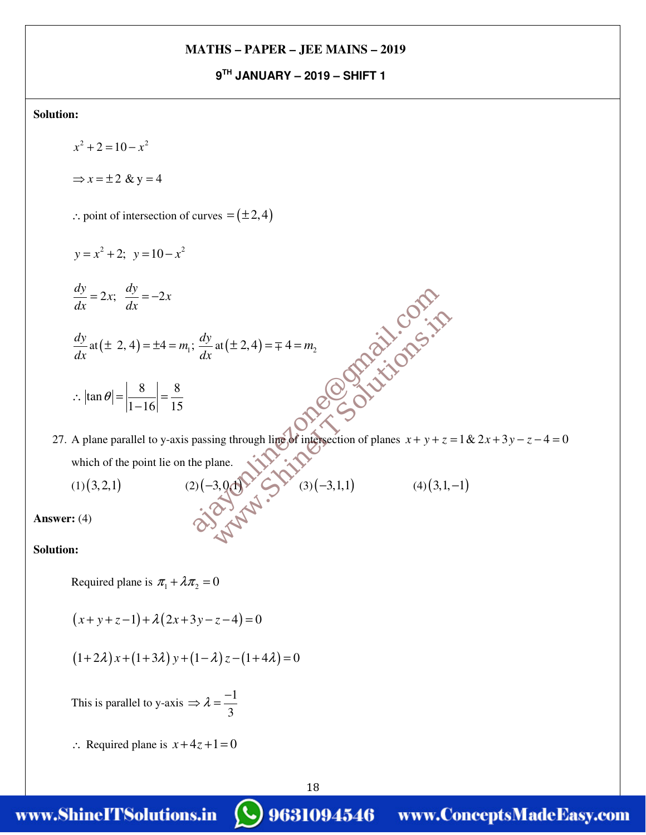**9TH JANUARY – 2019 – SHIFT 1** 

**Solution:** 

 $x^2 + 2 = 10 - x^2$  $\Rightarrow$   $x = \pm 2$  & y = 4 ∴ point of intersection of curves  $=(±2,4)$  $y = x^2 + 2$ ;  $y = 10 - x^2$  $\frac{dy}{dx} = 2x; \ \frac{dy}{dx} = -2x$ *dx dx*  $= 2x; \frac{dy}{dx} =$ *dy*  $\frac{dy}{dx}$  at  $(\pm 2, 4) = \pm 4 = m_1; \frac{dy}{dx}$  $\pm 2, 4$  =  $\pm 4$  =  $m_1$ ;  $\frac{dy}{dx}$  at  $(\pm 2, 4)$  =  $\mp 4$  =  $m_2$  $\tan \theta = \left| \frac{8}{1.15} \right| = \frac{8}{14}$  $1 - 16$  15  $\therefore |\tan \theta| = \frac{6}{14.15} =$ − 27. A plane parallel to y-axis passing through line of intersection of planes  $x + y + z = 1$  &  $2x + 3y - z - 4 = 0$ which of the point lie on the plane. (1)(3,2,1) (2)(−3,0,1) (3)(−3,1,1) (4)(3,1,-1) **Answer:** (4) **Solution:** Required plane is  $\pi_1 + \lambda \pi_2 = 0$  $(x+y+z-1)+\lambda(2x+3y-z-4)=0$ at  $(\pm 2, 4) = \mp 4 = m_2$ <br>
at  $(\pm 2, 4) = \mp 4 = m_2$ <br>
and through line of intersection of planes  $x + y + z =$ <br>
ane.<br>
3,0.4)  $\frac{dy}{dx}$ at (± 2, 4) =  $\mp$  4 =  $m_2$ <br>  $\frac{dy}{dx}$ at (± 2, 4) =  $\mp$  4 =  $m_2$ <br>  $\frac{dy}{dx}$  at (± 2, 4) =  $\mp$  4 =  $m_2$ <br>  $\frac{dy}{dx}$  at (± 2, 4) =  $\mp$  4 =  $m_2$ <br>  $\frac{dy}{dx}$  at ( $\pm$  2, 4)  $\frac{dy}{dx}$  and  $\frac{dy}{dx}$  at ( $\pm$  2)  $\$ 

 $(1+2\lambda)x+(1+3\lambda)y+(1-\lambda)z-(1+4\lambda)=0$ 

This is parallel to y-axis  $\Rightarrow \lambda = \frac{-1}{2}$ 3  $\Rightarrow \lambda = -\frac{1}{2}$ 

 $\therefore$  Required plane is  $x+4z+1=0$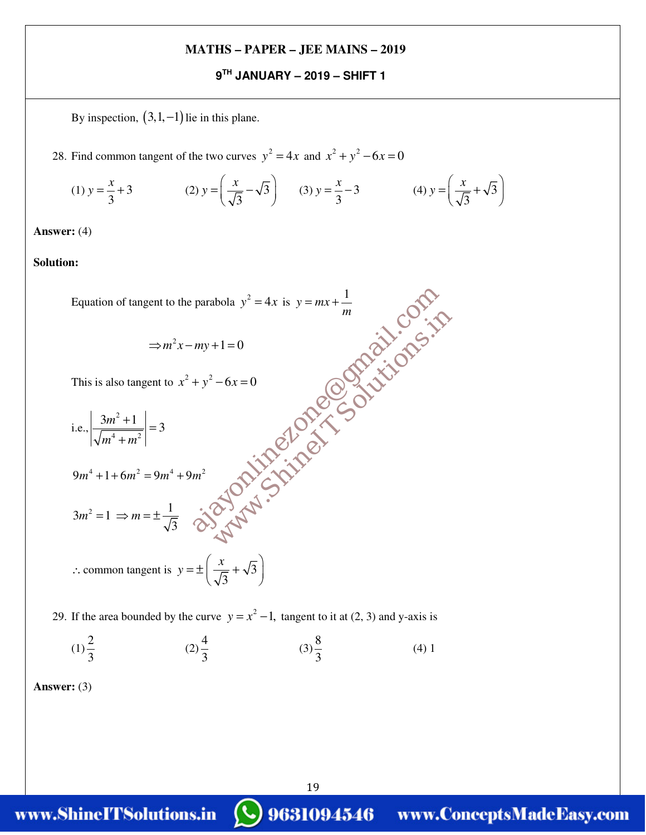#### **9TH JANUARY – 2019 – SHIFT 1**

By inspection,  $(3,1,-1)$  lie in this plane.

28. Find common tangent of the two curves  $y^2 = 4x$  and  $x^2 + y^2 - 6x = 0$ 

(1) 
$$
y = \frac{x}{3} + 3
$$
 (2)  $y = \left(\frac{x}{\sqrt{3}} - \sqrt{3}\right)$  (3)  $y = \frac{x}{3} - 3$  (4)  $y = \left(\frac{x}{\sqrt{3}} + \sqrt{3}\right)$ 

**Answer:** (4)

**Solution:**

Equation of tangent to the parabola  $y^2 = 4x$  is  $y = mx + \frac{1}{x}$ *m*  $= mx +$  $\Rightarrow$   $m^2x - my + 1 = 0$ This is also tangent to  $x^2 + y^2 - 6x = 0$  i.e., 2  $\left| \frac{3m^2+1}{\frac{m^4+1}{m^2}} \right| = 3$  $m^4 + m$  $\frac{+1}{\sqrt{2}}$  = +  $9m^4 + 1 + 6m^2 = 9m^4 + 9m^2$  $3m^2 = 1 \Rightarrow m = \pm \frac{1}{6}$ 3  $m^2 = 1 \implies m = \pm$ ∴ common tangent is  $y = \pm \frac{y}{\sqrt{2}} + \sqrt{3}$ 3  $y = \pm \left( \frac{x}{t} \right)$  $=\pm \left(\frac{x}{\sqrt{3}} + \sqrt{3}\right)$ HIPSOLUTE OF THE COLLEGE SOLUTIONS.in parabola  $y^2 = 4x$  is  $y = mx + \frac{1}{m}$ <br>  $my+1=0$ <br>  $+y^2-6x=0$ <br>  $+y^2-6x=0$ <br>  $m^2$ <br>  $m^2$ <br>  $m^2 \propto \sqrt{3} \sqrt{3} \sqrt{3} \sqrt{3}$ <br>  $\sqrt{3} \sqrt{3} \sqrt{3} \sqrt{3}$ <br>  $\sqrt{3} \sqrt{3} \sqrt{3} \sqrt{3}$ 

29. If the area bounded by the curve  $y = x^2 - 1$ , tangent to it at (2, 3) and y-axis is

$$
(1) \frac{2}{3} \qquad (2) \frac{4}{3} \qquad (3) \frac{8}{3} \qquad (4) 1
$$

**Answer:** (3)